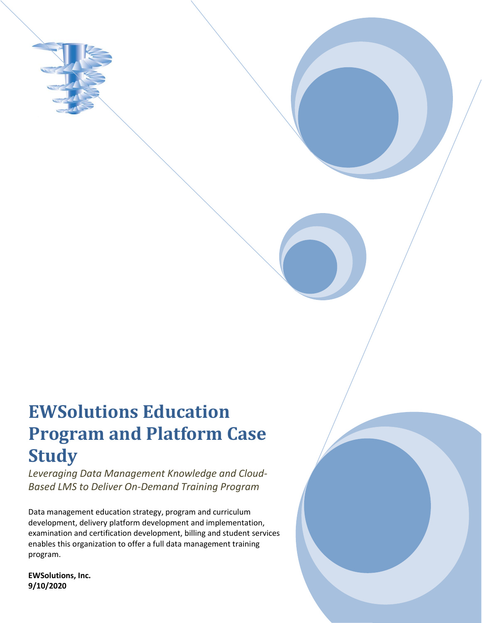

## **EWSolutions Education Program and Platform Case Study**

*Leveraging Data Management Knowledge and Cloud-Based LMS to Deliver On-Demand Training Program*

Data management education strategy, program and curriculum development, delivery platform development and implementation, examination and certification development, billing and student services enables this organization to offer a full data management training program.

**EWSolutions, Inc. 9/10/2020**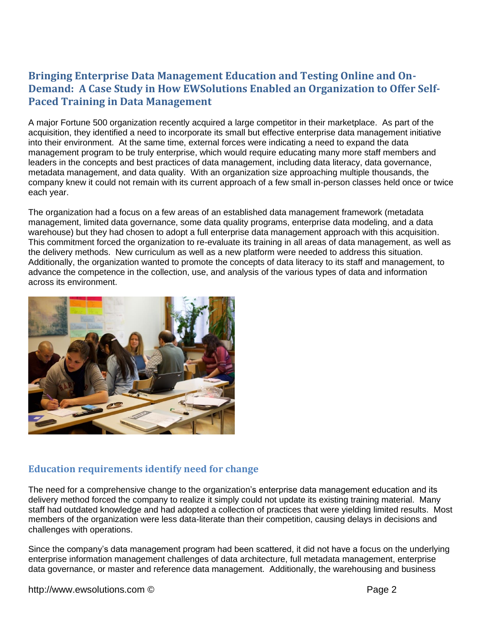## **Bringing Enterprise Data Management Education and Testing Online and On-Demand: A Case Study in How EWSolutions Enabled an Organization to Offer Self-Paced Training in Data Management**

A major Fortune 500 organization recently acquired a large competitor in their marketplace. As part of the acquisition, they identified a need to incorporate its small but effective enterprise data management initiative into their environment. At the same time, external forces were indicating a need to expand the data management program to be truly enterprise, which would require educating many more staff members and leaders in the concepts and best practices of data management, including data literacy, data governance, metadata management, and data quality. With an organization size approaching multiple thousands, the company knew it could not remain with its current approach of a few small in-person classes held once or twice each year.

The organization had a focus on a few areas of an established data management framework (metadata management, limited data governance, some data quality programs, enterprise data modeling, and a data warehouse) but they had chosen to adopt a full enterprise data management approach with this acquisition. This commitment forced the organization to re-evaluate its training in all areas of data management, as well as the delivery methods. New curriculum as well as a new platform were needed to address this situation. Additionally, the organization wanted to promote the concepts of data literacy to its staff and management, to advance the competence in the collection, use, and analysis of the various types of data and information across its environment.



## **Education requirements identify need for change**

The need for a comprehensive change to the organization's enterprise data management education and its delivery method forced the company to realize it simply could not update its existing training material. Many staff had outdated knowledge and had adopted a collection of practices that were yielding limited results. Most members of the organization were less data-literate than their competition, causing delays in decisions and challenges with operations.

Since the company's data management program had been scattered, it did not have a focus on the underlying enterprise information management challenges of data architecture, full metadata management, enterprise data governance, or master and reference data management. Additionally, the warehousing and business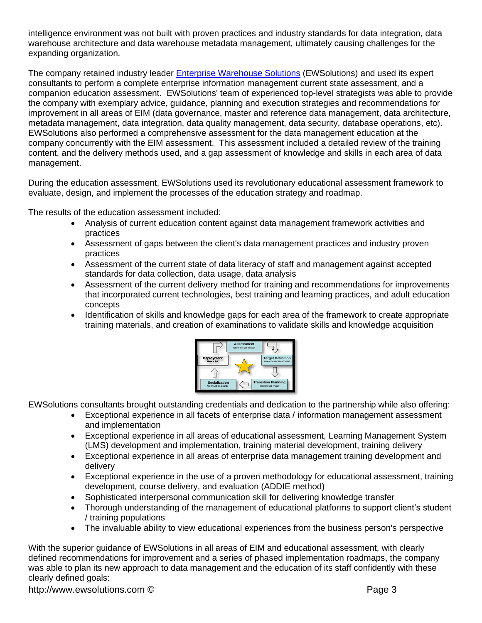intelligence environment was not built with proven practices and industry standards for data integration, data warehouse architecture and data warehouse metadata management, ultimately causing challenges for the expanding organization.

The company retained industry leader **Enterprise Warehouse Solutions** (EWSolutions) and used its expert consultants to perform a complete enterprise information management current state assessment, and a companion education assessment. EWSolutions' team of experienced top-level strategists was able to provide the company with exemplary advice, guidance, planning and execution strategies and recommendations for improvement in all areas of EIM (data governance, master and reference data management, data architecture, metadata management, data integration, data quality management, data security, database operations, etc). EWSolutions also performed a comprehensive assessment for the data management education at the company concurrently with the EIM assessment. This assessment included a detailed review of the training content, and the delivery methods used, and a gap assessment of knowledge and skills in each area of data management.

During the education assessment, EWSolutions used its revolutionary educational assessment framework to evaluate, design, and implement the processes of the education strategy and roadmap.

The results of the education assessment included:

- Analysis of current education content against data management framework activities and practices
- Assessment of gaps between the client's data management practices and industry proven practices
- Assessment of the current state of data literacy of staff and management against accepted standards for data collection, data usage, data analysis
- Assessment of the current delivery method for training and recommendations for improvements that incorporated current technologies, best training and learning practices, and adult education concepts
- Identification of skills and knowledge gaps for each area of the framework to create appropriate training materials, and creation of examinations to validate skills and knowledge acquisition



EWSolutions consultants brought outstanding credentials and dedication to the partnership while also offering:

- Exceptional experience in all facets of enterprise data / information management assessment and implementation
- Exceptional experience in all areas of educational assessment, Learning Management System (LMS) development and implementation, training material development, training delivery
- Exceptional experience in all areas of enterprise data management training development and delivery
- Exceptional experience in the use of a proven methodology for educational assessment, training development, course delivery, and evaluation (ADDIE method)
- Sophisticated interpersonal communication skill for delivering knowledge transfer
- Thorough understanding of the management of educational platforms to support client's student / training populations
- The invaluable ability to view educational experiences from the business person's perspective

With the superior guidance of EWSolutions in all areas of EIM and educational assessment, with clearly defined recommendations for improvement and a series of phased implementation roadmaps, the company was able to plan its new approach to data management and the education of its staff confidently with these clearly defined goals:

http://www.ewsolutions.com © Page 3